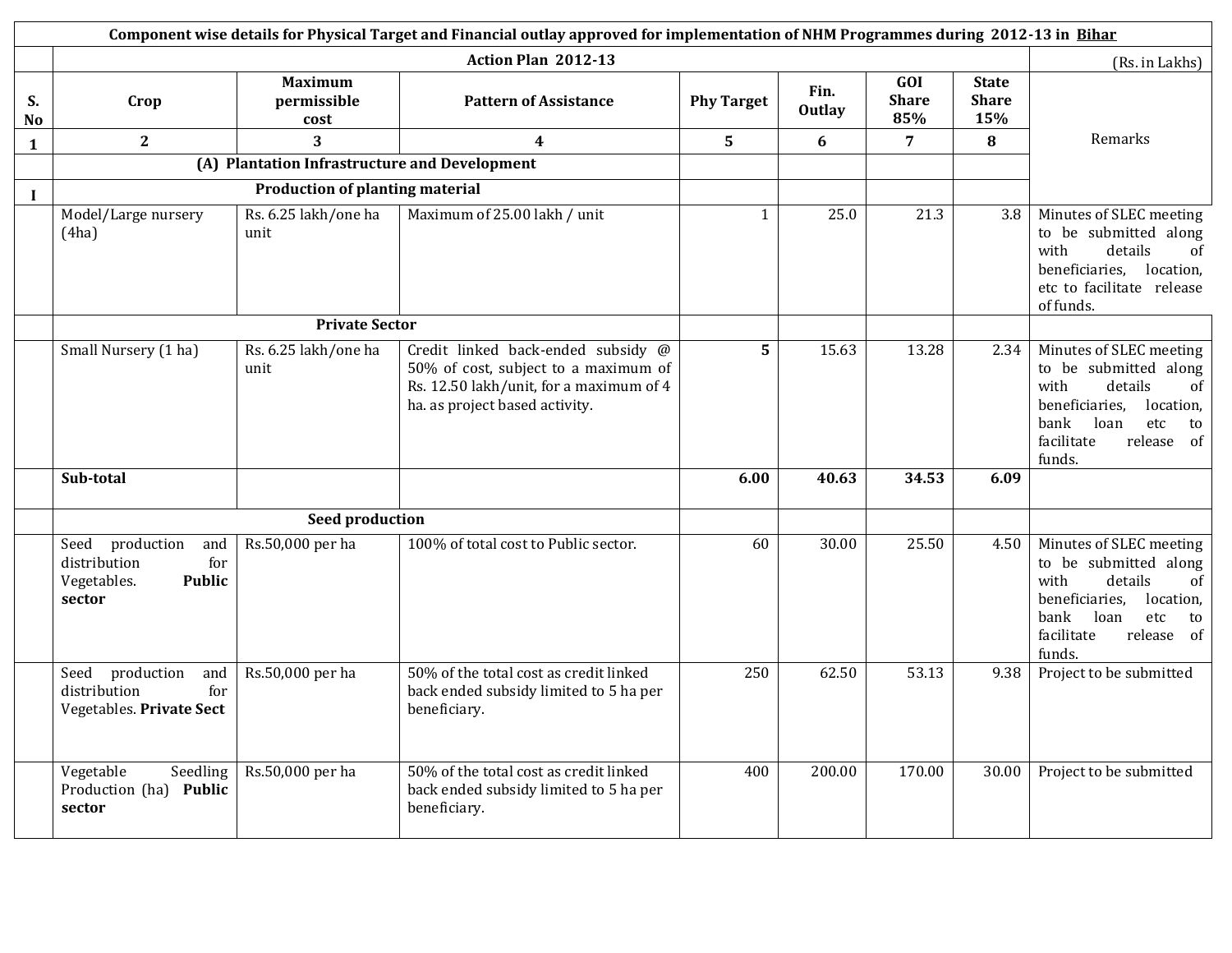|                      | Component wise details for Physical Target and Financial outlay approved for implementation of NHM Programmes during 2012-13 in Bihar |                                               |                                                                                                                                                         |                   |                       |                            |                                     |                                                                                                                                                                          |  |
|----------------------|---------------------------------------------------------------------------------------------------------------------------------------|-----------------------------------------------|---------------------------------------------------------------------------------------------------------------------------------------------------------|-------------------|-----------------------|----------------------------|-------------------------------------|--------------------------------------------------------------------------------------------------------------------------------------------------------------------------|--|
|                      |                                                                                                                                       |                                               | Action Plan 2012-13                                                                                                                                     |                   |                       |                            |                                     | (Rs. in Lakhs)                                                                                                                                                           |  |
| S.<br>N <sub>o</sub> | Crop                                                                                                                                  | <b>Maximum</b><br>permissible<br>cost         | <b>Pattern of Assistance</b>                                                                                                                            | <b>Phy Target</b> | Fin.<br><b>Outlay</b> | GOI<br><b>Share</b><br>85% | <b>State</b><br><b>Share</b><br>15% |                                                                                                                                                                          |  |
| $\mathbf{1}$         | $\mathbf{2}$                                                                                                                          | $\overline{3}$                                | $\boldsymbol{4}$                                                                                                                                        | 5                 | 6                     | $\overline{7}$             | 8                                   | Remarks                                                                                                                                                                  |  |
|                      |                                                                                                                                       | (A) Plantation Infrastructure and Development |                                                                                                                                                         |                   |                       |                            |                                     |                                                                                                                                                                          |  |
| $\bf{I}$             |                                                                                                                                       | <b>Production of planting material</b>        |                                                                                                                                                         |                   |                       |                            |                                     |                                                                                                                                                                          |  |
|                      | Model/Large nursery<br>(4ha)                                                                                                          | Rs. 6.25 lakh/one ha<br>unit                  | Maximum of 25.00 lakh / unit                                                                                                                            | 1                 | 25.0                  | 21.3                       | 3.8                                 | Minutes of SLEC meeting<br>to be submitted along<br>details<br>with<br><sub>of</sub><br>beneficiaries, location,<br>etc to facilitate release<br>of funds.               |  |
|                      |                                                                                                                                       | <b>Private Sector</b>                         |                                                                                                                                                         |                   |                       |                            |                                     |                                                                                                                                                                          |  |
|                      | Small Nursery (1 ha)                                                                                                                  | Rs. 6.25 lakh/one ha<br>unit                  | Credit linked back-ended subsidy @<br>50% of cost, subject to a maximum of<br>Rs. 12.50 lakh/unit, for a maximum of 4<br>ha. as project based activity. | 5                 | 15.63                 | 13.28                      | 2.34                                | Minutes of SLEC meeting<br>to be submitted along<br>with<br>details<br>of<br>beneficiaries, location,<br>bank<br>loan<br>etc<br>to<br>facilitate<br>release of<br>funds. |  |
|                      | Sub-total                                                                                                                             |                                               |                                                                                                                                                         | 6.00              | 40.63                 | 34.53                      | 6.09                                |                                                                                                                                                                          |  |
|                      |                                                                                                                                       | <b>Seed production</b>                        |                                                                                                                                                         |                   |                       |                            |                                     |                                                                                                                                                                          |  |
|                      | Seed production<br>and<br>for<br>distribution<br>Vegetables.<br><b>Public</b><br>sector                                               | Rs.50,000 per ha                              | 100% of total cost to Public sector.                                                                                                                    | 60                | 30.00                 | 25.50                      | 4.50                                | Minutes of SLEC meeting<br>to be submitted along<br>with<br>details<br>οf<br>beneficiaries, location,<br>bank<br>loan<br>etc<br>to<br>facilitate<br>release of<br>funds. |  |
|                      | Seed production<br>and<br>distribution<br>for<br>Vegetables. Private Sect                                                             | Rs.50,000 per ha                              | 50% of the total cost as credit linked<br>back ended subsidy limited to 5 ha per<br>beneficiary.                                                        | 250               | 62.50                 | 53.13                      | 9.38                                | Project to be submitted                                                                                                                                                  |  |
|                      | Vegetable<br>Seedling<br>Production (ha) Public<br>sector                                                                             | Rs.50,000 per ha                              | 50% of the total cost as credit linked<br>back ended subsidy limited to 5 ha per<br>beneficiary.                                                        | 400               | 200.00                | 170.00                     | 30.00                               | Project to be submitted                                                                                                                                                  |  |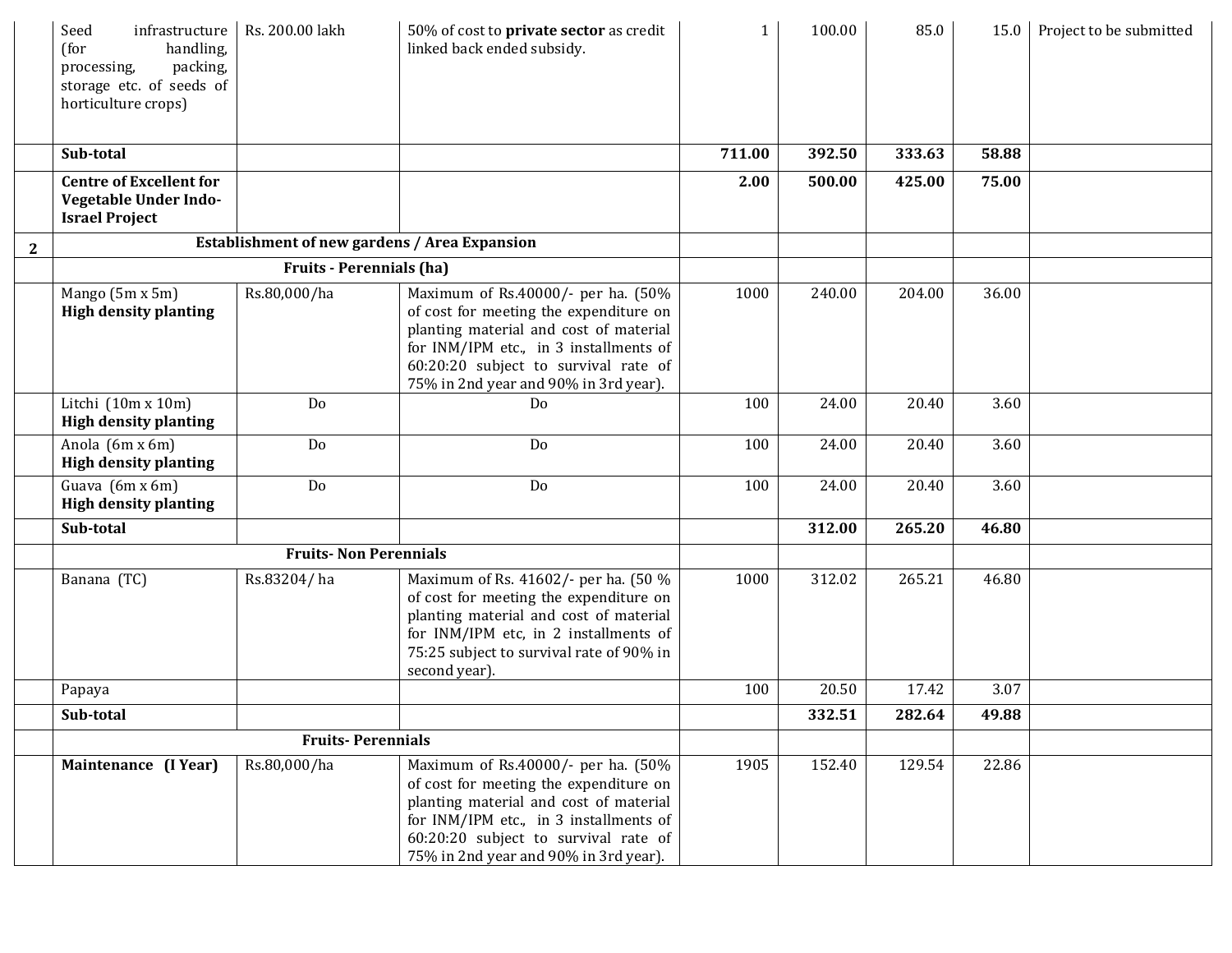|              | Seed<br>infrastructure<br>(for<br>handling,<br>packing,<br>processing,<br>storage etc. of seeds of<br>horticulture crops) | Rs. 200.00 lakh                 | 50% of cost to private sector as credit<br>linked back ended subsidy.                                                                                                                                                                             | $\mathbf{1}$ | 100.00 | 85.0   | 15.0  | Project to be submitted |
|--------------|---------------------------------------------------------------------------------------------------------------------------|---------------------------------|---------------------------------------------------------------------------------------------------------------------------------------------------------------------------------------------------------------------------------------------------|--------------|--------|--------|-------|-------------------------|
|              | Sub-total                                                                                                                 |                                 |                                                                                                                                                                                                                                                   | 711.00       | 392.50 | 333.63 | 58.88 |                         |
|              | <b>Centre of Excellent for</b><br>Vegetable Under Indo-<br><b>Israel Project</b>                                          |                                 |                                                                                                                                                                                                                                                   | 2.00         | 500.00 | 425.00 | 75.00 |                         |
| $\mathbf{2}$ |                                                                                                                           |                                 | <b>Establishment of new gardens / Area Expansion</b>                                                                                                                                                                                              |              |        |        |       |                         |
|              |                                                                                                                           | <b>Fruits - Perennials (ha)</b> |                                                                                                                                                                                                                                                   |              |        |        |       |                         |
|              | Mango (5m x 5m)<br><b>High density planting</b>                                                                           | Rs.80,000/ha                    | Maximum of Rs.40000/- per ha. (50%<br>of cost for meeting the expenditure on<br>planting material and cost of material<br>for INM/IPM etc., in 3 installments of<br>60:20:20 subject to survival rate of<br>75% in 2nd year and 90% in 3rd year). | 1000         | 240.00 | 204.00 | 36.00 |                         |
|              | Litchi $(10m \times 10m)$<br><b>High density planting</b>                                                                 | Do                              | Do                                                                                                                                                                                                                                                | 100          | 24.00  | 20.40  | 3.60  |                         |
|              | Anola (6m x 6m)<br><b>High density planting</b>                                                                           | Do                              | Do                                                                                                                                                                                                                                                | 100          | 24.00  | 20.40  | 3.60  |                         |
|              | Guava (6m x 6m)<br><b>High density planting</b>                                                                           | Do                              | Do                                                                                                                                                                                                                                                | 100          | 24.00  | 20.40  | 3.60  |                         |
|              | Sub-total                                                                                                                 |                                 |                                                                                                                                                                                                                                                   |              | 312.00 | 265.20 | 46.80 |                         |
|              |                                                                                                                           | <b>Fruits-Non Perennials</b>    |                                                                                                                                                                                                                                                   |              |        |        |       |                         |
|              | Banana (TC)                                                                                                               | Rs.83204/ha                     | Maximum of Rs. 41602/- per ha. (50 %<br>of cost for meeting the expenditure on<br>planting material and cost of material<br>for INM/IPM etc, in 2 installments of<br>75:25 subject to survival rate of 90% in<br>second year).                    | 1000         | 312.02 | 265.21 | 46.80 |                         |
|              | Papaya                                                                                                                    |                                 |                                                                                                                                                                                                                                                   | 100          | 20.50  | 17.42  | 3.07  |                         |
|              | Sub-total                                                                                                                 |                                 |                                                                                                                                                                                                                                                   |              | 332.51 | 282.64 | 49.88 |                         |
|              | <b>Fruits-Perennials</b>                                                                                                  |                                 |                                                                                                                                                                                                                                                   |              |        |        |       |                         |
|              | Maintenance (I Year)                                                                                                      | Rs.80,000/ha                    | Maximum of Rs.40000/- per ha. (50%<br>of cost for meeting the expenditure on<br>planting material and cost of material<br>for INM/IPM etc., in 3 installments of<br>60:20:20 subject to survival rate of<br>75% in 2nd year and 90% in 3rd year). | 1905         | 152.40 | 129.54 | 22.86 |                         |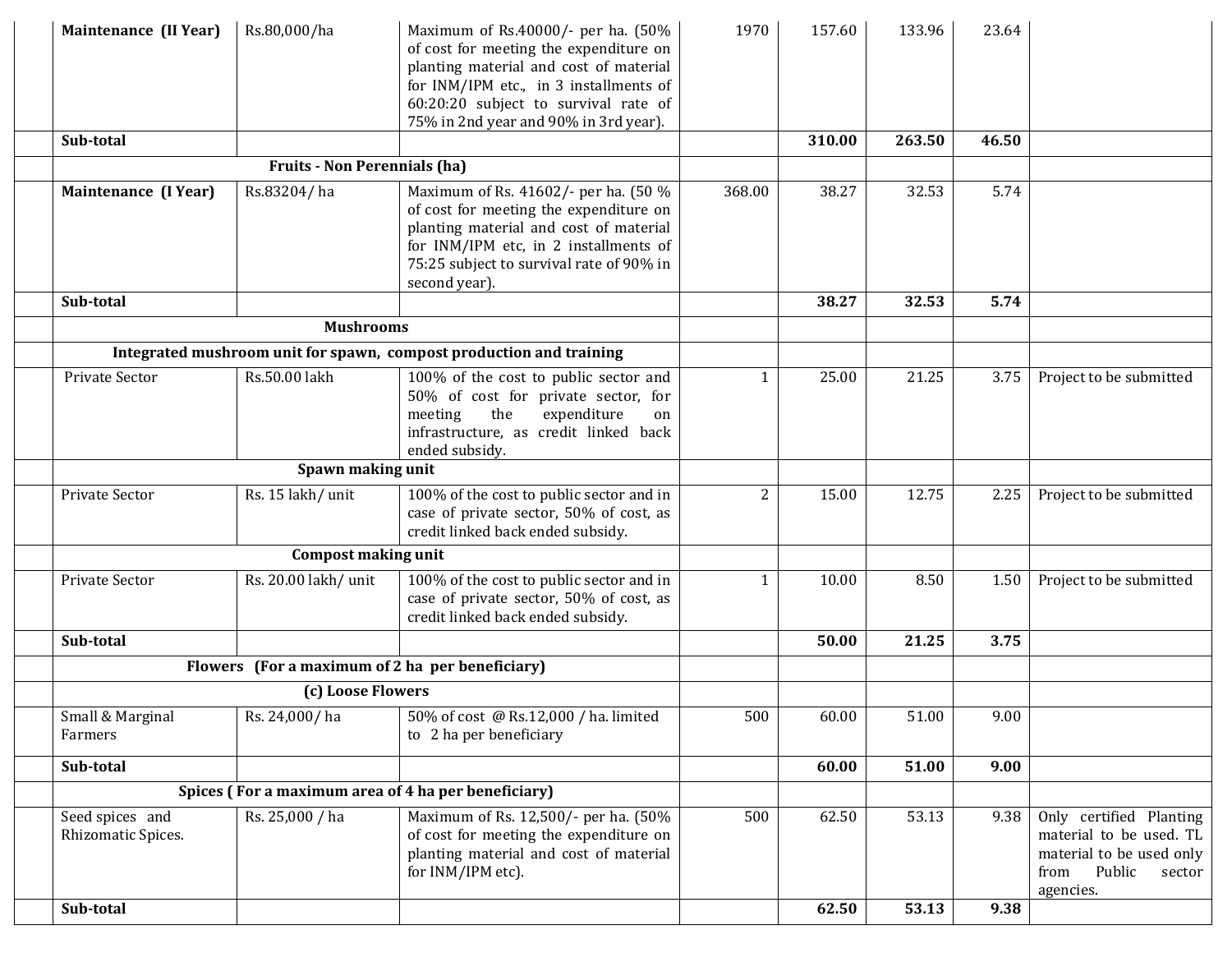| Maintenance (II Year)                 | Rs.80,000/ha                 | Maximum of Rs.40000/- per ha. (50%<br>of cost for meeting the expenditure on<br>planting material and cost of material<br>for INM/IPM etc., in 3 installments of<br>60:20:20 subject to survival rate of<br>75% in 2nd year and 90% in 3rd year). | 1970           | 157.60 | 133.96 | 23.64 |                                                                                                                         |
|---------------------------------------|------------------------------|---------------------------------------------------------------------------------------------------------------------------------------------------------------------------------------------------------------------------------------------------|----------------|--------|--------|-------|-------------------------------------------------------------------------------------------------------------------------|
| Sub-total                             |                              |                                                                                                                                                                                                                                                   |                | 310.00 | 263.50 | 46.50 |                                                                                                                         |
|                                       | Fruits - Non Perennials (ha) |                                                                                                                                                                                                                                                   |                |        |        |       |                                                                                                                         |
| Maintenance (I Year)                  | Rs.83204/ha                  | Maximum of Rs. 41602/- per ha. (50 %<br>of cost for meeting the expenditure on<br>planting material and cost of material<br>for INM/IPM etc, in 2 installments of<br>75:25 subject to survival rate of 90% in<br>second year).                    | 368.00         | 38.27  | 32.53  | 5.74  |                                                                                                                         |
| Sub-total                             |                              |                                                                                                                                                                                                                                                   |                | 38.27  | 32.53  | 5.74  |                                                                                                                         |
|                                       | <b>Mushrooms</b>             |                                                                                                                                                                                                                                                   |                |        |        |       |                                                                                                                         |
|                                       |                              | Integrated mushroom unit for spawn, compost production and training                                                                                                                                                                               |                |        |        |       |                                                                                                                         |
| <b>Private Sector</b>                 | Rs.50.00 lakh                | 100% of the cost to public sector and<br>50% of cost for private sector, for<br>expenditure<br>meeting<br>the<br>on<br>infrastructure, as credit linked back<br>ended subsidy.                                                                    | 1              | 25.00  | 21.25  | 3.75  | Project to be submitted                                                                                                 |
|                                       |                              |                                                                                                                                                                                                                                                   |                |        |        |       |                                                                                                                         |
| Private Sector                        | Rs. 15 lakh/ unit            | 100% of the cost to public sector and in<br>case of private sector, 50% of cost, as<br>credit linked back ended subsidy.                                                                                                                          | $\overline{c}$ | 15.00  | 12.75  | 2.25  | Project to be submitted                                                                                                 |
|                                       | <b>Compost making unit</b>   |                                                                                                                                                                                                                                                   |                |        |        |       |                                                                                                                         |
| Private Sector                        | Rs. 20.00 lakh/ unit         | 100% of the cost to public sector and in<br>case of private sector, 50% of cost, as<br>credit linked back ended subsidy.                                                                                                                          | 1              | 10.00  | 8.50   | 1.50  | Project to be submitted                                                                                                 |
| Sub-total                             |                              |                                                                                                                                                                                                                                                   |                | 50.00  | 21.25  | 3.75  |                                                                                                                         |
|                                       |                              | Flowers (For a maximum of 2 ha per beneficiary)                                                                                                                                                                                                   |                |        |        |       |                                                                                                                         |
|                                       | (c) Loose Flowers            |                                                                                                                                                                                                                                                   |                |        |        |       |                                                                                                                         |
| Small & Marginal<br>Farmers           | Rs. 24,000/ha                | 50% of cost @ Rs.12,000 / ha. limited<br>to 2 ha per beneficiary                                                                                                                                                                                  | 500            | 60.00  | 51.00  | 9.00  |                                                                                                                         |
| Sub-total                             |                              |                                                                                                                                                                                                                                                   |                | 60.00  | 51.00  | 9.00  |                                                                                                                         |
|                                       |                              | Spices (For a maximum area of 4 ha per beneficiary)                                                                                                                                                                                               |                |        |        |       |                                                                                                                         |
| Seed spices and<br>Rhizomatic Spices. | Rs. 25,000 / ha              | Maximum of Rs. 12,500/- per ha. (50%<br>of cost for meeting the expenditure on<br>planting material and cost of material<br>for INM/IPM etc).                                                                                                     | 500            | 62.50  | 53.13  | 9.38  | Only certified Planting<br>material to be used. TL<br>material to be used only<br>Public<br>from<br>sector<br>agencies. |
| Sub-total                             |                              |                                                                                                                                                                                                                                                   |                | 62.50  | 53.13  | 9.38  |                                                                                                                         |
|                                       |                              |                                                                                                                                                                                                                                                   |                |        |        |       |                                                                                                                         |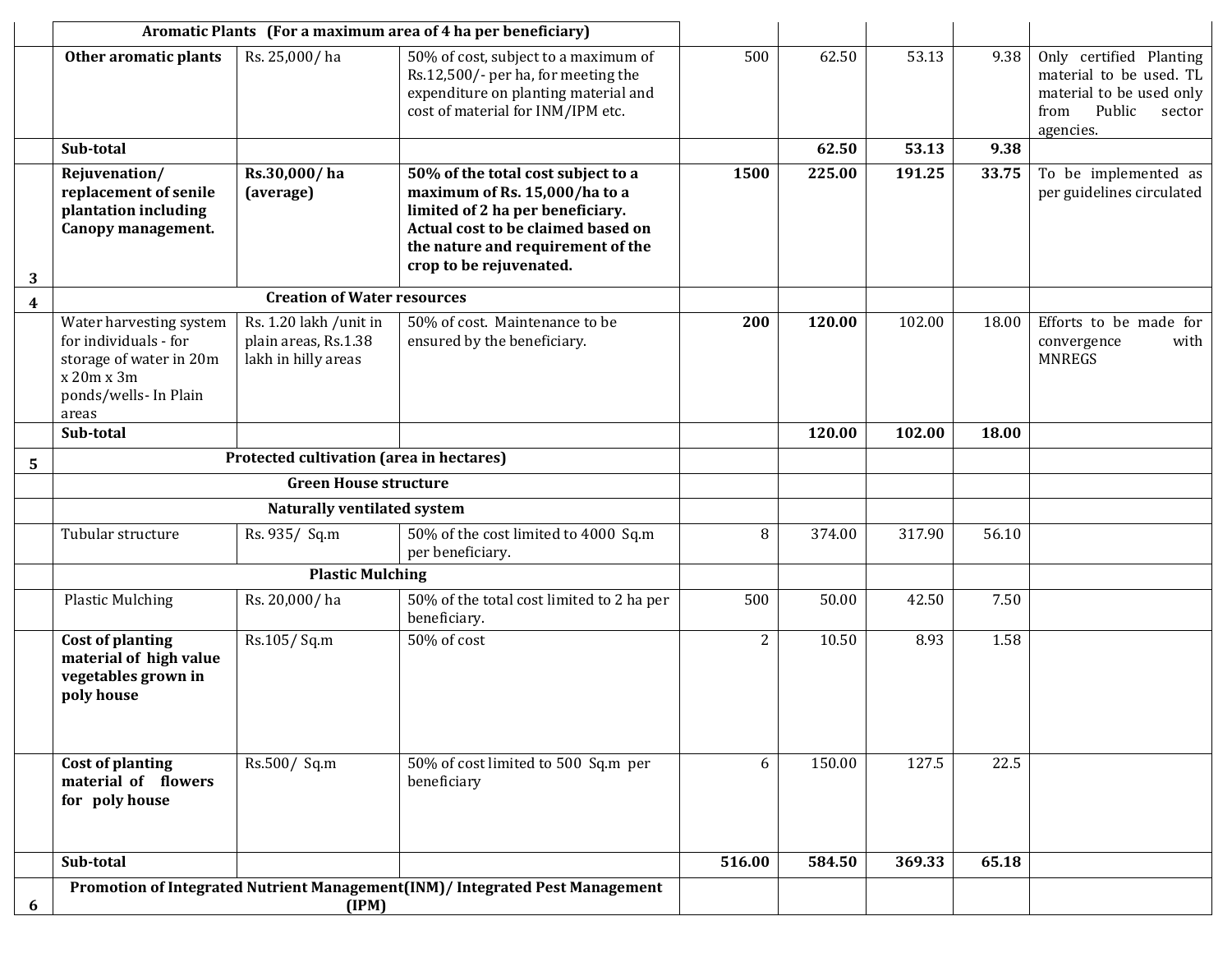|                         | Aromatic Plants (For a maximum area of 4 ha per beneficiary)                                                                |                                                                       |                                                                                                                                                                                                               |        |        |        |       |                                                                                                                         |
|-------------------------|-----------------------------------------------------------------------------------------------------------------------------|-----------------------------------------------------------------------|---------------------------------------------------------------------------------------------------------------------------------------------------------------------------------------------------------------|--------|--------|--------|-------|-------------------------------------------------------------------------------------------------------------------------|
|                         | Other aromatic plants                                                                                                       | Rs. 25,000/ha                                                         | 50% of cost, subject to a maximum of<br>Rs.12,500/- per ha, for meeting the<br>expenditure on planting material and<br>cost of material for INM/IPM etc.                                                      | 500    | 62.50  | 53.13  | 9.38  | Only certified Planting<br>material to be used. TL<br>material to be used only<br>Public<br>from<br>sector<br>agencies. |
|                         | Sub-total                                                                                                                   |                                                                       |                                                                                                                                                                                                               |        | 62.50  | 53.13  | 9.38  |                                                                                                                         |
| 3                       | Rejuvenation/<br>replacement of senile<br>plantation including<br>Canopy management.                                        | Rs.30,000/ha<br>(average)                                             | 50% of the total cost subject to a<br>maximum of Rs. 15,000/ha to a<br>limited of 2 ha per beneficiary.<br>Actual cost to be claimed based on<br>the nature and requirement of the<br>crop to be rejuvenated. | 1500   | 225.00 | 191.25 | 33.75 | To be implemented as<br>per guidelines circulated                                                                       |
| $\overline{\mathbf{4}}$ |                                                                                                                             | <b>Creation of Water resources</b>                                    |                                                                                                                                                                                                               |        |        |        |       |                                                                                                                         |
|                         | Water harvesting system<br>for individuals - for<br>storage of water in 20m<br>x 20m x 3m<br>ponds/wells- In Plain<br>areas | Rs. 1.20 lakh /unit in<br>plain areas, Rs.1.38<br>lakh in hilly areas | 50% of cost. Maintenance to be<br>ensured by the beneficiary.                                                                                                                                                 | 200    | 120.00 | 102.00 | 18.00 | Efforts to be made for<br>with<br>convergence<br><b>MNREGS</b>                                                          |
|                         | Sub-total                                                                                                                   |                                                                       |                                                                                                                                                                                                               |        | 120.00 | 102.00 | 18.00 |                                                                                                                         |
| 5                       |                                                                                                                             | Protected cultivation (area in hectares)                              |                                                                                                                                                                                                               |        |        |        |       |                                                                                                                         |
|                         | <b>Green House structure</b>                                                                                                |                                                                       |                                                                                                                                                                                                               |        |        |        |       |                                                                                                                         |
|                         | Naturally ventilated system                                                                                                 |                                                                       |                                                                                                                                                                                                               |        |        |        |       |                                                                                                                         |
|                         | Tubular structure                                                                                                           | Rs. 935/ Sq.m                                                         | 50% of the cost limited to 4000 Sq.m<br>per beneficiary.                                                                                                                                                      | 8      | 374.00 | 317.90 | 56.10 |                                                                                                                         |
|                         |                                                                                                                             | <b>Plastic Mulching</b>                                               |                                                                                                                                                                                                               |        |        |        |       |                                                                                                                         |
|                         | <b>Plastic Mulching</b>                                                                                                     | Rs. 20,000/ha                                                         | 50% of the total cost limited to 2 ha per<br>beneficiary.                                                                                                                                                     | 500    | 50.00  | 42.50  | 7.50  |                                                                                                                         |
|                         | <b>Cost of planting</b><br>material of high value<br>vegetables grown in<br>poly house                                      | Rs.105/Sq.m                                                           | 50% of cost                                                                                                                                                                                                   | 2      | 10.50  | 8.93   | 1.58  |                                                                                                                         |
|                         | Cost of planting<br>material of flowers<br>for poly house                                                                   | $\overline{\text{Rs}}.500 / \text{Sq.m}$                              | 50% of cost limited to 500 Sq.m per<br>beneficiary                                                                                                                                                            | 6      | 150.00 | 127.5  | 22.5  |                                                                                                                         |
|                         | Sub-total                                                                                                                   |                                                                       |                                                                                                                                                                                                               | 516.00 | 584.50 | 369.33 | 65.18 |                                                                                                                         |
| 6                       | Promotion of Integrated Nutrient Management(INM)/ Integrated Pest Management<br>(IPM)                                       |                                                                       |                                                                                                                                                                                                               |        |        |        |       |                                                                                                                         |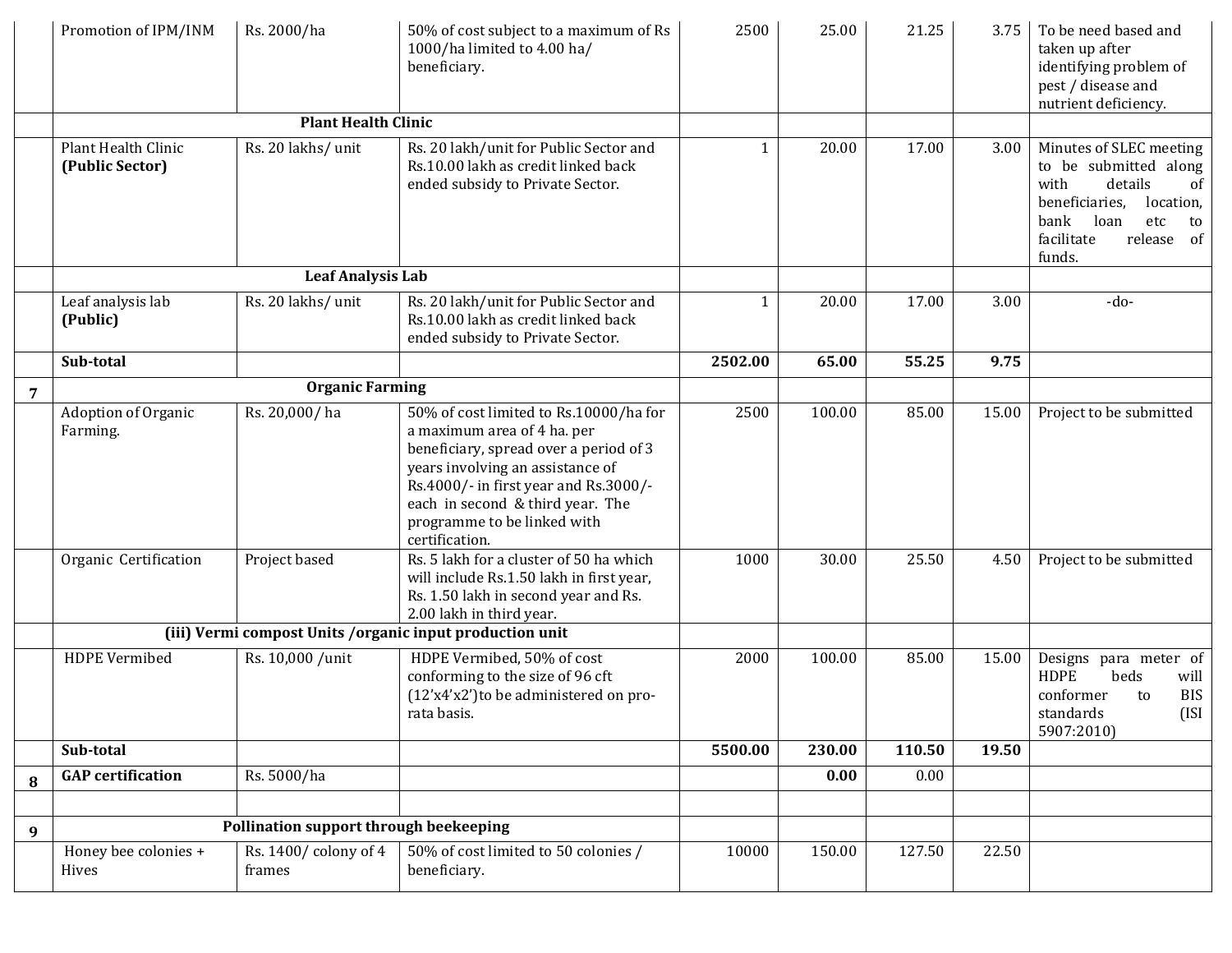|                | Promotion of IPM/INM                   | Rs. 2000/ha                            | 50% of cost subject to a maximum of Rs<br>1000/ha limited to 4.00 ha/<br>beneficiary.                                                                                                                                                                                             | 2500    | 25.00  | 21.25  | 3.75  | To be need based and<br>taken up after<br>identifying problem of<br>pest / disease and<br>nutrient deficiency.                                                              |
|----------------|----------------------------------------|----------------------------------------|-----------------------------------------------------------------------------------------------------------------------------------------------------------------------------------------------------------------------------------------------------------------------------------|---------|--------|--------|-------|-----------------------------------------------------------------------------------------------------------------------------------------------------------------------------|
|                |                                        | <b>Plant Health Clinic</b>             |                                                                                                                                                                                                                                                                                   |         |        |        |       |                                                                                                                                                                             |
|                | Plant Health Clinic<br>(Public Sector) | Rs. 20 lakhs/ unit                     | Rs. 20 lakh/unit for Public Sector and<br>Rs.10.00 lakh as credit linked back<br>ended subsidy to Private Sector.                                                                                                                                                                 | 1       | 20.00  | 17.00  | 3.00  | Minutes of SLEC meeting<br>to be submitted along<br>with<br>details<br>of<br>beneficiaries,<br>location,<br>bank<br>loan<br>etc<br>to<br>facilitate<br>release of<br>funds. |
|                |                                        | <b>Leaf Analysis Lab</b>               |                                                                                                                                                                                                                                                                                   |         |        |        |       |                                                                                                                                                                             |
|                | Leaf analysis lab<br>(Public)          | Rs. 20 lakhs/ unit                     | Rs. 20 lakh/unit for Public Sector and<br>Rs.10.00 lakh as credit linked back<br>ended subsidy to Private Sector.                                                                                                                                                                 | 1       | 20.00  | 17.00  | 3.00  | $-do-$                                                                                                                                                                      |
|                | Sub-total                              |                                        |                                                                                                                                                                                                                                                                                   | 2502.00 | 65.00  | 55.25  | 9.75  |                                                                                                                                                                             |
| $\overline{7}$ |                                        | <b>Organic Farming</b>                 |                                                                                                                                                                                                                                                                                   |         |        |        |       |                                                                                                                                                                             |
|                | Adoption of Organic<br>Farming.        | Rs. 20,000/ha                          | 50% of cost limited to Rs.10000/ha for<br>a maximum area of 4 ha. per<br>beneficiary, spread over a period of 3<br>years involving an assistance of<br>Rs.4000/- in first year and Rs.3000/-<br>each in second & third year. The<br>programme to be linked with<br>certification. | 2500    | 100.00 | 85.00  | 15.00 | Project to be submitted                                                                                                                                                     |
|                | Organic Certification                  | Project based                          | Rs. 5 lakh for a cluster of 50 ha which<br>will include Rs.1.50 lakh in first year,<br>Rs. 1.50 lakh in second year and Rs.<br>2.00 lakh in third year.                                                                                                                           | 1000    | 30.00  | 25.50  | 4.50  | Project to be submitted                                                                                                                                                     |
|                |                                        |                                        | (iii) Vermi compost Units / organic input production unit                                                                                                                                                                                                                         |         |        |        |       |                                                                                                                                                                             |
|                | HDPE Vermibed                          | Rs. 10,000 /unit                       | HDPE Vermibed, 50% of cost<br>conforming to the size of 96 cft<br>(12'x4'x2')to be administered on pro-<br>rata basis.                                                                                                                                                            | 2000    | 100.00 | 85.00  | 15.00 | Designs para meter of<br><b>HDPE</b><br>beds<br>will<br>conformer<br><b>BIS</b><br>to<br>(ISI)<br>standards<br>5907:2010)                                                   |
|                | Sub-total                              |                                        |                                                                                                                                                                                                                                                                                   | 5500.00 | 230.00 | 110.50 | 19.50 |                                                                                                                                                                             |
| 8              | <b>GAP</b> certification               | Rs. 5000/ha                            |                                                                                                                                                                                                                                                                                   |         | 0.00   | 0.00   |       |                                                                                                                                                                             |
|                |                                        |                                        |                                                                                                                                                                                                                                                                                   |         |        |        |       |                                                                                                                                                                             |
| 9              |                                        | Pollination support through beekeeping |                                                                                                                                                                                                                                                                                   |         |        |        |       |                                                                                                                                                                             |
|                | Honey bee colonies +<br>Hives          | Rs. 1400/colony of 4<br>frames         | 50% of cost limited to 50 colonies /<br>beneficiary.                                                                                                                                                                                                                              | 10000   | 150.00 | 127.50 | 22.50 |                                                                                                                                                                             |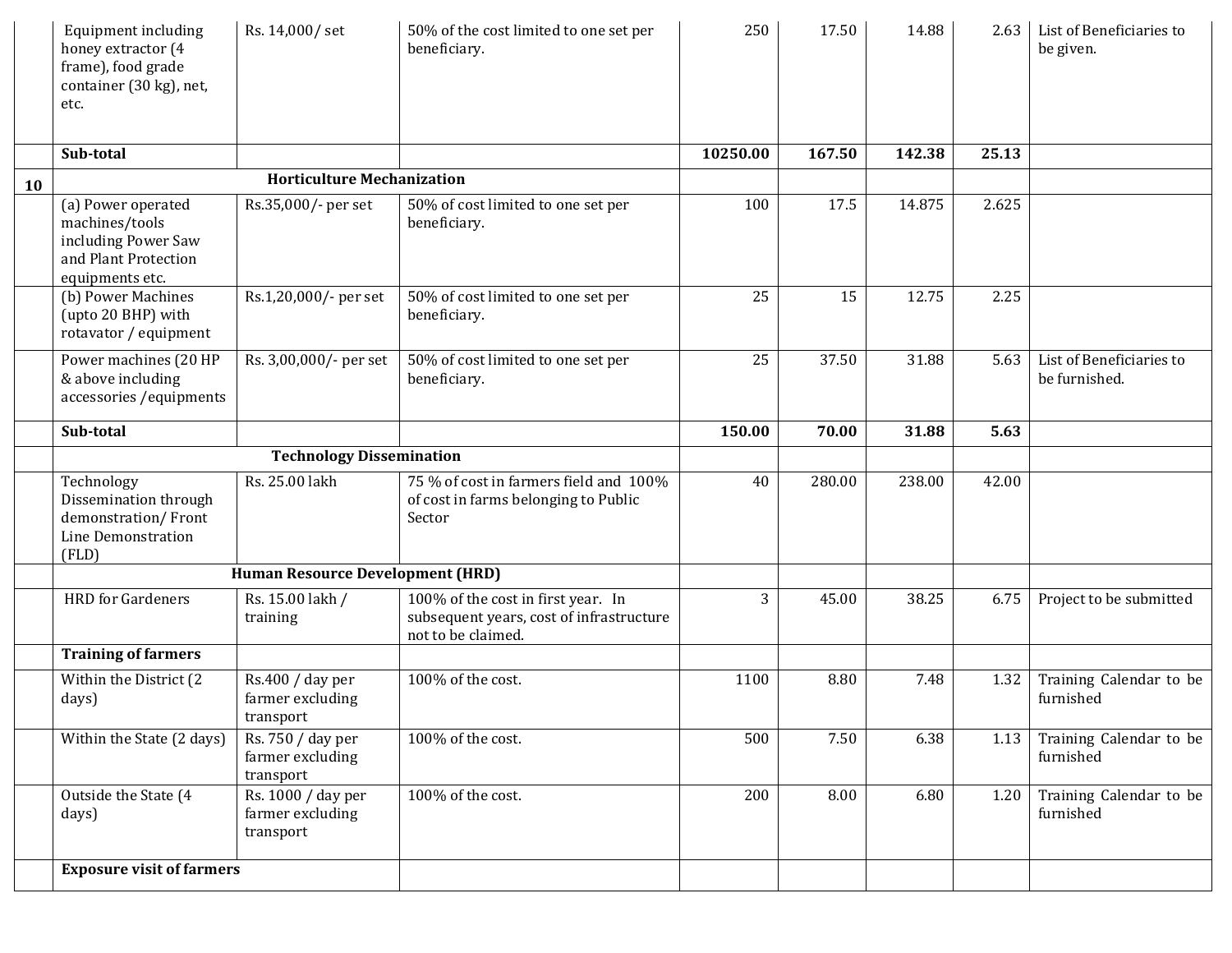|           | <b>Equipment including</b><br>honey extractor (4<br>frame), food grade<br>container (30 kg), net,<br>etc. | Rs. 14,000/set                                      | 50% of the cost limited to one set per<br>beneficiary.                                               | 250      | 17.50  | 14.88  | 2.63  | List of Beneficiaries to<br>be given.     |
|-----------|-----------------------------------------------------------------------------------------------------------|-----------------------------------------------------|------------------------------------------------------------------------------------------------------|----------|--------|--------|-------|-------------------------------------------|
|           | Sub-total                                                                                                 |                                                     |                                                                                                      | 10250.00 | 167.50 | 142.38 | 25.13 |                                           |
| <b>10</b> |                                                                                                           | <b>Horticulture Mechanization</b>                   |                                                                                                      |          |        |        |       |                                           |
|           | (a) Power operated<br>machines/tools<br>including Power Saw<br>and Plant Protection<br>equipments etc.    | Rs.35,000/- per set                                 | 50% of cost limited to one set per<br>beneficiary.                                                   | 100      | 17.5   | 14.875 | 2.625 |                                           |
|           | (b) Power Machines<br>(upto 20 BHP) with<br>rotavator / equipment                                         | Rs.1,20,000/- per set                               | 50% of cost limited to one set per<br>beneficiary.                                                   | 25       | 15     | 12.75  | 2.25  |                                           |
|           | Power machines (20 HP<br>& above including<br>accessories / equipments                                    | Rs. 3,00,000/- per set                              | 50% of cost limited to one set per<br>beneficiary.                                                   | 25       | 37.50  | 31.88  | 5.63  | List of Beneficiaries to<br>be furnished. |
|           | Sub-total                                                                                                 |                                                     |                                                                                                      | 150.00   | 70.00  | 31.88  | 5.63  |                                           |
|           |                                                                                                           | <b>Technology Dissemination</b>                     |                                                                                                      |          |        |        |       |                                           |
|           | Technology<br>Dissemination through<br>demonstration/Front<br><b>Line Demonstration</b><br>(FLD)          | Rs. 25.00 lakh                                      | 75 % of cost in farmers field and 100%<br>of cost in farms belonging to Public<br>Sector             | 40       | 280.00 | 238.00 | 42.00 |                                           |
|           |                                                                                                           | <b>Human Resource Development (HRD)</b>             |                                                                                                      |          |        |        |       |                                           |
|           | <b>HRD</b> for Gardeners                                                                                  | Rs. 15.00 lakh /<br>training                        | 100% of the cost in first year. In<br>subsequent years, cost of infrastructure<br>not to be claimed. | 3        | 45.00  | 38.25  | 6.75  | Project to be submitted                   |
|           | <b>Training of farmers</b>                                                                                |                                                     |                                                                                                      |          |        |        |       |                                           |
|           | Within the District (2<br>days)                                                                           | Rs.400 / day per<br>farmer excluding<br>transport   | 100% of the cost.                                                                                    | 1100     | 8.80   | 7.48   | 1.32  | Training Calendar to be<br>furnished      |
|           | Within the State (2 days)                                                                                 | Rs. 750 / day per<br>farmer excluding<br>transport  | 100% of the cost.                                                                                    | 500      | 7.50   | 6.38   | 1.13  | Training Calendar to be<br>furnished      |
|           | Outside the State (4<br>days)                                                                             | Rs. 1000 / day per<br>farmer excluding<br>transport | 100% of the cost.                                                                                    | 200      | 8.00   | 6.80   | 1.20  | Training Calendar to be<br>furnished      |
|           | <b>Exposure visit of farmers</b>                                                                          |                                                     |                                                                                                      |          |        |        |       |                                           |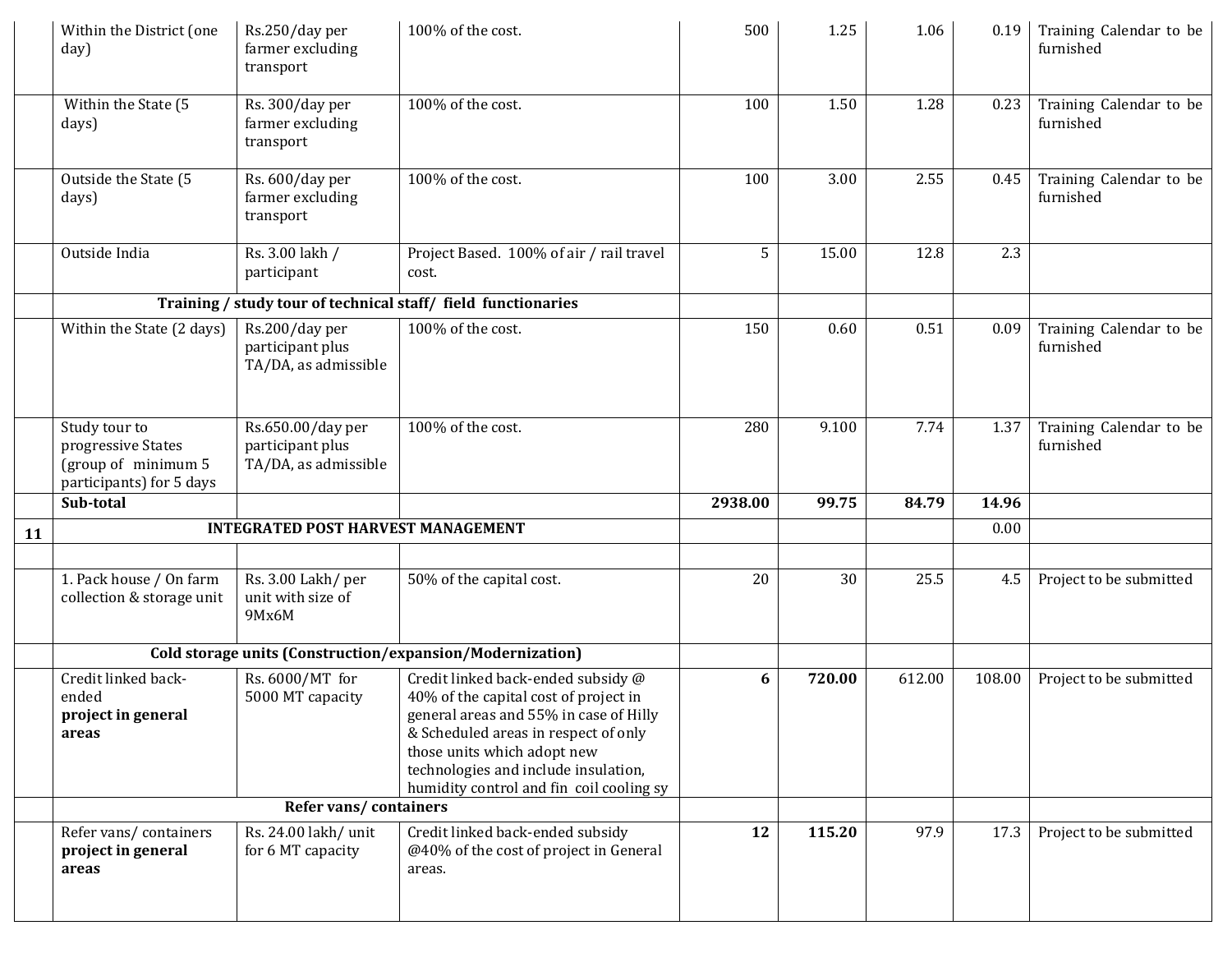|    | Within the District (one<br>day)                                                       | Rs.250/day per<br>farmer excluding<br>transport               | 100% of the cost.                                                                                                                                                                                                                                                                | 500     | 1.25   | 1.06   | 0.19   | Training Calendar to be<br>furnished |
|----|----------------------------------------------------------------------------------------|---------------------------------------------------------------|----------------------------------------------------------------------------------------------------------------------------------------------------------------------------------------------------------------------------------------------------------------------------------|---------|--------|--------|--------|--------------------------------------|
|    | Within the State (5<br>days)                                                           | Rs. 300/day per<br>farmer excluding<br>transport              | 100% of the cost.                                                                                                                                                                                                                                                                | 100     | 1.50   | 1.28   | 0.23   | Training Calendar to be<br>furnished |
|    | Outside the State (5<br>days)                                                          | Rs. 600/day per<br>farmer excluding<br>transport              | 100% of the cost.                                                                                                                                                                                                                                                                | 100     | 3.00   | 2.55   | 0.45   | Training Calendar to be<br>furnished |
|    | Outside India                                                                          | Rs. 3.00 lakh /<br>participant                                | Project Based. 100% of air / rail travel<br>cost.                                                                                                                                                                                                                                | 5       | 15.00  | 12.8   | 2.3    |                                      |
|    |                                                                                        |                                                               | Training / study tour of technical staff/ field functionaries                                                                                                                                                                                                                    |         |        |        |        |                                      |
|    | Within the State (2 days)                                                              | Rs.200/day per<br>participant plus<br>TA/DA, as admissible    | 100% of the cost.                                                                                                                                                                                                                                                                | 150     | 0.60   | 0.51   | 0.09   | Training Calendar to be<br>furnished |
|    | Study tour to<br>progressive States<br>(group of minimum 5<br>participants) for 5 days | Rs.650.00/day per<br>participant plus<br>TA/DA, as admissible | 100% of the cost.                                                                                                                                                                                                                                                                | 280     | 9.100  | 7.74   | 1.37   | Training Calendar to be<br>furnished |
|    | Sub-total                                                                              |                                                               |                                                                                                                                                                                                                                                                                  | 2938.00 | 99.75  | 84.79  | 14.96  |                                      |
| 11 |                                                                                        | <b>INTEGRATED POST HARVEST MANAGEMENT</b>                     |                                                                                                                                                                                                                                                                                  |         |        |        | 0.00   |                                      |
|    | 1. Pack house / On farm<br>collection & storage unit                                   | Rs. 3.00 Lakh/ per<br>unit with size of<br>9Mx6M              | 50% of the capital cost.                                                                                                                                                                                                                                                         | 20      | 30     | 25.5   | 4.5    | Project to be submitted              |
|    |                                                                                        |                                                               | Cold storage units (Construction/expansion/Modernization)                                                                                                                                                                                                                        |         |        |        |        |                                      |
|    | Credit linked back-<br>ended<br>project in general<br>areas                            | Rs. 6000/MT for<br>5000 MT capacity                           | Credit linked back-ended subsidy @<br>40% of the capital cost of project in<br>general areas and 55% in case of Hilly<br>& Scheduled areas in respect of only<br>those units which adopt new<br>technologies and include insulation,<br>humidity control and fin coil cooling sy | 6       | 720.00 | 612.00 | 108.00 | Project to be submitted              |
|    | Refer vans/containers                                                                  |                                                               |                                                                                                                                                                                                                                                                                  |         |        |        |        |                                      |
|    | Refer vans/containers<br>project in general<br>areas                                   | Rs. 24.00 lakh/ unit<br>for 6 MT capacity                     | Credit linked back-ended subsidy<br>@40% of the cost of project in General<br>areas.                                                                                                                                                                                             | 12      | 115.20 | 97.9   | 17.3   | Project to be submitted              |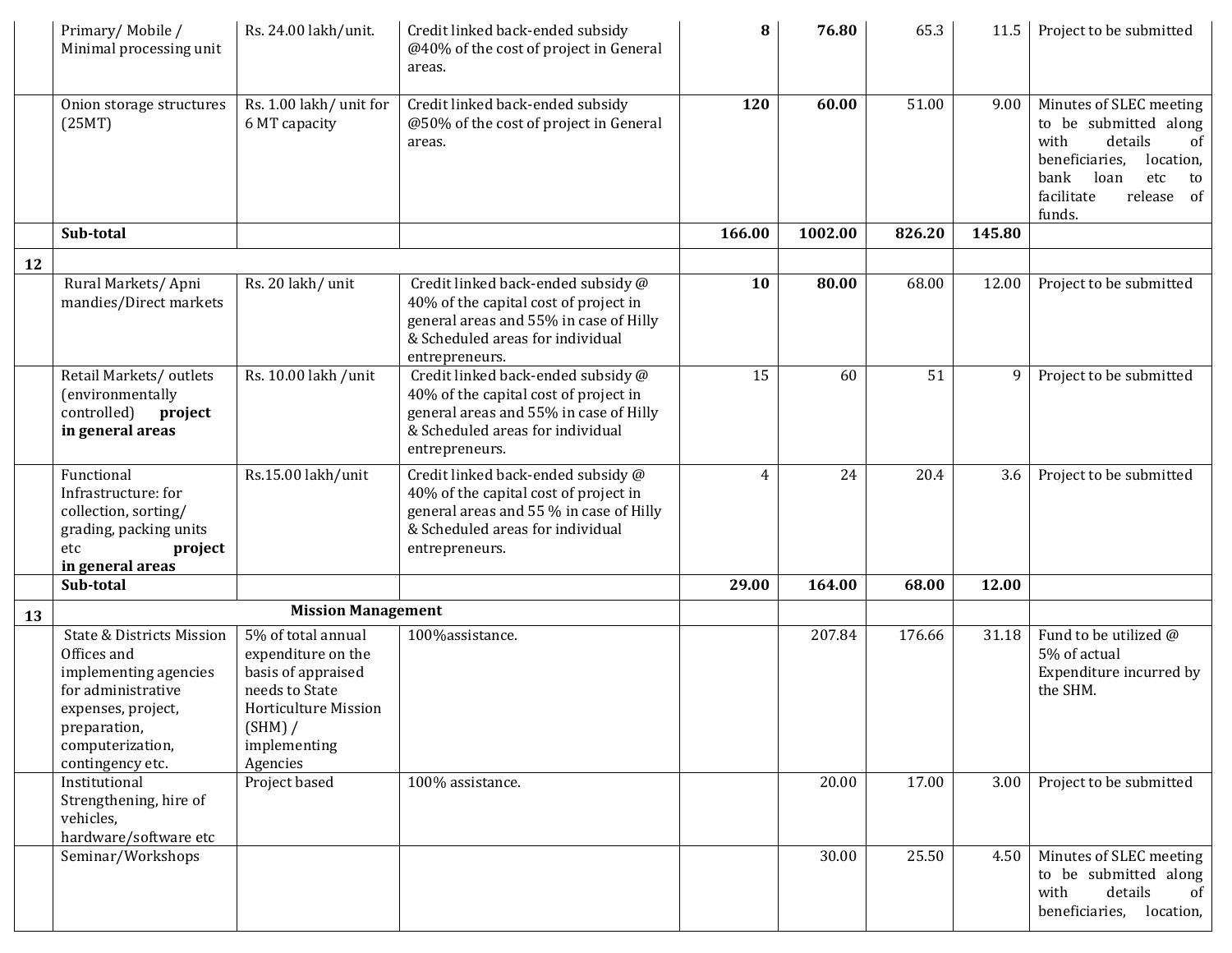|    | Primary/Mobile/<br>Minimal processing unit                                                                                                                                       | Rs. 24.00 lakh/unit.                                                                                                                            | Credit linked back-ended subsidy<br>@40% of the cost of project in General<br>areas.                                                                                         | 8              | 76.80   | 65.3   | 11.5   | Project to be submitted                                                                                                                                                     |
|----|----------------------------------------------------------------------------------------------------------------------------------------------------------------------------------|-------------------------------------------------------------------------------------------------------------------------------------------------|------------------------------------------------------------------------------------------------------------------------------------------------------------------------------|----------------|---------|--------|--------|-----------------------------------------------------------------------------------------------------------------------------------------------------------------------------|
|    | Onion storage structures<br>(25MT)                                                                                                                                               | Rs. 1.00 lakh/ unit for<br>6 MT capacity                                                                                                        | Credit linked back-ended subsidy<br>@50% of the cost of project in General<br>areas.                                                                                         | 120            | 60.00   | 51.00  | 9.00   | Minutes of SLEC meeting<br>to be submitted along<br>details<br>with<br>οf<br>beneficiaries,<br>location,<br>bank<br>loan<br>etc<br>to<br>facilitate<br>release of<br>funds. |
|    | Sub-total                                                                                                                                                                        |                                                                                                                                                 |                                                                                                                                                                              | 166.00         | 1002.00 | 826.20 | 145.80 |                                                                                                                                                                             |
| 12 |                                                                                                                                                                                  |                                                                                                                                                 |                                                                                                                                                                              |                |         |        |        |                                                                                                                                                                             |
|    | Rural Markets/Apni<br>mandies/Direct markets                                                                                                                                     | Rs. 20 lakh/ unit                                                                                                                               | Credit linked back-ended subsidy @<br>40% of the capital cost of project in<br>general areas and 55% in case of Hilly<br>& Scheduled areas for individual<br>entrepreneurs.  | 10             | 80.00   | 68.00  | 12.00  | Project to be submitted                                                                                                                                                     |
|    | Retail Markets/outlets<br>(environmentally<br>controlled)<br>project<br>in general areas                                                                                         | Rs. 10.00 lakh / unit                                                                                                                           | Credit linked back-ended subsidy @<br>40% of the capital cost of project in<br>general areas and 55% in case of Hilly<br>& Scheduled areas for individual<br>entrepreneurs.  | 15             | 60      | 51     | 9      | Project to be submitted                                                                                                                                                     |
|    | Functional<br>Infrastructure: for<br>collection, sorting/<br>grading, packing units<br>etc<br>project<br>in general areas                                                        | Rs.15.00 lakh/unit                                                                                                                              | Credit linked back-ended subsidy @<br>40% of the capital cost of project in<br>general areas and 55 % in case of Hilly<br>& Scheduled areas for individual<br>entrepreneurs. | $\overline{4}$ | 24      | 20.4   | 3.6    | Project to be submitted                                                                                                                                                     |
|    | Sub-total                                                                                                                                                                        |                                                                                                                                                 |                                                                                                                                                                              | 29.00          | 164.00  | 68.00  | 12.00  |                                                                                                                                                                             |
| 13 |                                                                                                                                                                                  | <b>Mission Management</b>                                                                                                                       |                                                                                                                                                                              |                |         |        |        |                                                                                                                                                                             |
|    | <b>State &amp; Districts Mission</b><br>Offices and<br>implementing agencies<br>for administrative<br>expenses, project,<br>preparation,<br>computerization,<br>contingency etc. | 5% of total annual<br>expenditure on the<br>basis of appraised<br>needs to State<br>Horticulture Mission<br>(SHM) /<br>implementing<br>Agencies | 100%assistance.                                                                                                                                                              |                | 207.84  | 176.66 | 31.18  | Fund to be utilized @<br>5% of actual<br>Expenditure incurred by<br>the SHM.                                                                                                |
|    | Institutional<br>Strengthening, hire of<br>vehicles,<br>hardware/software etc                                                                                                    | Project based                                                                                                                                   | 100% assistance.                                                                                                                                                             |                | 20.00   | 17.00  | 3.00   | Project to be submitted                                                                                                                                                     |
|    | Seminar/Workshops                                                                                                                                                                |                                                                                                                                                 |                                                                                                                                                                              |                | 30.00   | 25.50  | 4.50   | Minutes of SLEC meeting<br>to be submitted along<br>with<br>details<br>of<br>beneficiaries,<br>location,                                                                    |